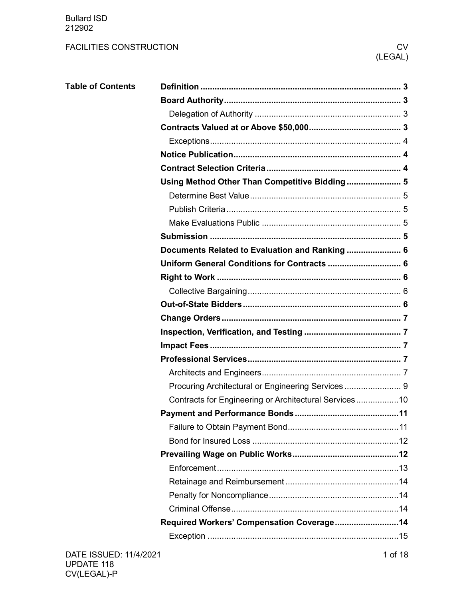Bullard ISD 212902

| <b>Table of Contents</b> |                                                       |  |
|--------------------------|-------------------------------------------------------|--|
|                          |                                                       |  |
|                          |                                                       |  |
|                          |                                                       |  |
|                          |                                                       |  |
|                          |                                                       |  |
|                          |                                                       |  |
|                          | Using Method Other Than Competitive Bidding 5         |  |
|                          |                                                       |  |
|                          |                                                       |  |
|                          |                                                       |  |
|                          |                                                       |  |
|                          | Documents Related to Evaluation and Ranking  6        |  |
|                          | Uniform General Conditions for Contracts  6           |  |
|                          |                                                       |  |
|                          |                                                       |  |
|                          |                                                       |  |
|                          |                                                       |  |
|                          |                                                       |  |
|                          |                                                       |  |
|                          |                                                       |  |
|                          |                                                       |  |
|                          |                                                       |  |
|                          | Contracts for Engineering or Architectural Services10 |  |
|                          |                                                       |  |
|                          |                                                       |  |
|                          |                                                       |  |
|                          |                                                       |  |
|                          |                                                       |  |
|                          |                                                       |  |
|                          |                                                       |  |
|                          |                                                       |  |
|                          | Required Workers' Compensation Coverage 14            |  |
|                          |                                                       |  |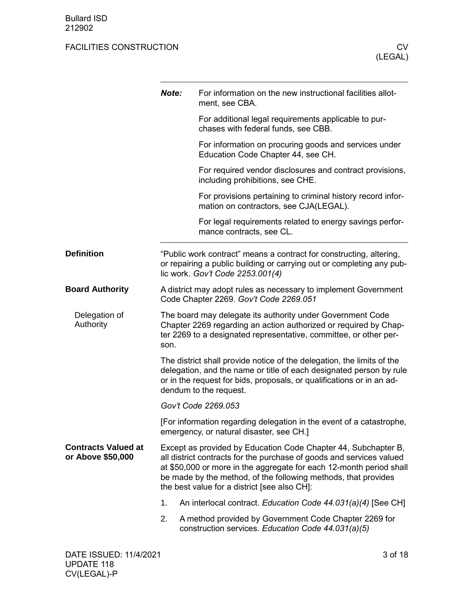<span id="page-2-3"></span><span id="page-2-2"></span><span id="page-2-1"></span><span id="page-2-0"></span>

|                                                 | Note:                                                                                                                                                                                                                                                                                                                           | For information on the new instructional facilities allot-<br>ment, see CBA.                                                                                                     |  |  |  |  |  |
|-------------------------------------------------|---------------------------------------------------------------------------------------------------------------------------------------------------------------------------------------------------------------------------------------------------------------------------------------------------------------------------------|----------------------------------------------------------------------------------------------------------------------------------------------------------------------------------|--|--|--|--|--|
|                                                 |                                                                                                                                                                                                                                                                                                                                 | For additional legal requirements applicable to pur-<br>chases with federal funds, see CBB.                                                                                      |  |  |  |  |  |
|                                                 |                                                                                                                                                                                                                                                                                                                                 | For information on procuring goods and services under<br>Education Code Chapter 44, see CH.                                                                                      |  |  |  |  |  |
|                                                 |                                                                                                                                                                                                                                                                                                                                 | For required vendor disclosures and contract provisions,<br>including prohibitions, see CHE.                                                                                     |  |  |  |  |  |
|                                                 |                                                                                                                                                                                                                                                                                                                                 | For provisions pertaining to criminal history record infor-<br>mation on contractors, see CJA(LEGAL).                                                                            |  |  |  |  |  |
|                                                 |                                                                                                                                                                                                                                                                                                                                 | For legal requirements related to energy savings perfor-<br>mance contracts, see CL.                                                                                             |  |  |  |  |  |
| <b>Definition</b>                               |                                                                                                                                                                                                                                                                                                                                 | "Public work contract" means a contract for constructing, altering,<br>or repairing a public building or carrying out or completing any pub-<br>lic work. Gov't Code 2253.001(4) |  |  |  |  |  |
| <b>Board Authority</b>                          | A district may adopt rules as necessary to implement Government<br>Code Chapter 2269. Gov't Code 2269.051                                                                                                                                                                                                                       |                                                                                                                                                                                  |  |  |  |  |  |
| Delegation of<br>Authority                      | The board may delegate its authority under Government Code<br>Chapter 2269 regarding an action authorized or required by Chap-<br>ter 2269 to a designated representative, committee, or other per-<br>son.                                                                                                                     |                                                                                                                                                                                  |  |  |  |  |  |
|                                                 | The district shall provide notice of the delegation, the limits of the<br>delegation, and the name or title of each designated person by rule<br>or in the request for bids, proposals, or qualifications or in an ad-<br>dendum to the request.                                                                                |                                                                                                                                                                                  |  |  |  |  |  |
|                                                 | Gov't Code 2269.053                                                                                                                                                                                                                                                                                                             |                                                                                                                                                                                  |  |  |  |  |  |
|                                                 | [For information regarding delegation in the event of a catastrophe,<br>emergency, or natural disaster, see CH.]                                                                                                                                                                                                                |                                                                                                                                                                                  |  |  |  |  |  |
| <b>Contracts Valued at</b><br>or Above \$50,000 | Except as provided by Education Code Chapter 44, Subchapter B,<br>all district contracts for the purchase of goods and services valued<br>at \$50,000 or more in the aggregate for each 12-month period shall<br>be made by the method, of the following methods, that provides<br>the best value for a district [see also CH]: |                                                                                                                                                                                  |  |  |  |  |  |
|                                                 | 1.                                                                                                                                                                                                                                                                                                                              | An interlocal contract. Education Code 44.031(a)(4) [See CH]                                                                                                                     |  |  |  |  |  |
|                                                 | 2.                                                                                                                                                                                                                                                                                                                              | A method provided by Government Code Chapter 2269 for<br>construction services. Education Code 44.031(a)(5)                                                                      |  |  |  |  |  |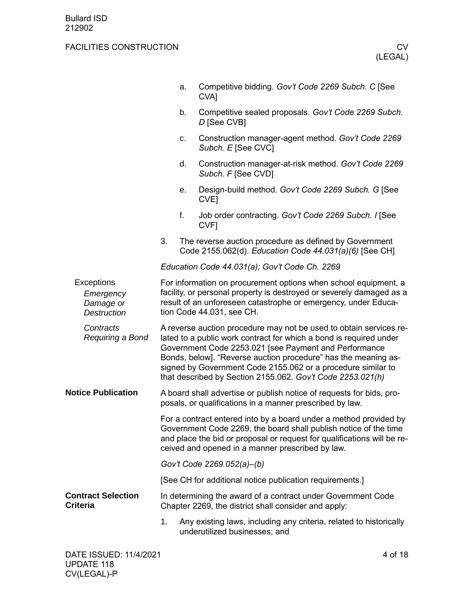<span id="page-3-2"></span><span id="page-3-1"></span><span id="page-3-0"></span>

|                                                                   |                                                                                                                                                                                                                                                                      | a.                                                                                                                                                                                                                                                                                                                                                                                                | Competitive bidding. Gov't Code 2269 Subch. C [See<br>CVA <sub>l</sub>                                                                                                                                                                 |  |  |
|-------------------------------------------------------------------|----------------------------------------------------------------------------------------------------------------------------------------------------------------------------------------------------------------------------------------------------------------------|---------------------------------------------------------------------------------------------------------------------------------------------------------------------------------------------------------------------------------------------------------------------------------------------------------------------------------------------------------------------------------------------------|----------------------------------------------------------------------------------------------------------------------------------------------------------------------------------------------------------------------------------------|--|--|
|                                                                   |                                                                                                                                                                                                                                                                      | b.                                                                                                                                                                                                                                                                                                                                                                                                | Competitive sealed proposals. Gov't Code 2269 Subch.<br>D [See CVB]                                                                                                                                                                    |  |  |
|                                                                   |                                                                                                                                                                                                                                                                      | c.                                                                                                                                                                                                                                                                                                                                                                                                | Construction manager-agent method. Gov't Code 2269<br>Subch. E [See CVC]                                                                                                                                                               |  |  |
|                                                                   |                                                                                                                                                                                                                                                                      | d.                                                                                                                                                                                                                                                                                                                                                                                                | Construction manager-at-risk method. Gov't Code 2269<br>Subch. F [See CVD]                                                                                                                                                             |  |  |
|                                                                   |                                                                                                                                                                                                                                                                      | е.                                                                                                                                                                                                                                                                                                                                                                                                | Design-build method. Gov't Code 2269 Subch. G [See<br>CVE <sub>l</sub>                                                                                                                                                                 |  |  |
|                                                                   |                                                                                                                                                                                                                                                                      | f.                                                                                                                                                                                                                                                                                                                                                                                                | Job order contracting. Gov't Code 2269 Subch. I [See<br>CVF1                                                                                                                                                                           |  |  |
|                                                                   | 3.                                                                                                                                                                                                                                                                   |                                                                                                                                                                                                                                                                                                                                                                                                   | The reverse auction procedure as defined by Government<br>Code 2155.062(d). Education Code 44.031(a)(6) [See CH]                                                                                                                       |  |  |
|                                                                   |                                                                                                                                                                                                                                                                      |                                                                                                                                                                                                                                                                                                                                                                                                   | Education Code 44.031(a); Gov't Code Ch. 2269                                                                                                                                                                                          |  |  |
| <b>Exceptions</b><br>Emergency<br>Damage or<br><b>Destruction</b> |                                                                                                                                                                                                                                                                      |                                                                                                                                                                                                                                                                                                                                                                                                   | For information on procurement options when school equipment, a<br>facility, or personal property is destroyed or severely damaged as a<br>result of an unforeseen catastrophe or emergency, under Educa-<br>tion Code 44.031, see CH. |  |  |
| Contracts<br>Requiring a Bond                                     |                                                                                                                                                                                                                                                                      | A reverse auction procedure may not be used to obtain services re-<br>lated to a public work contract for which a bond is required under<br>Government Code 2253.021 [see Payment and Performance<br>Bonds, below]. "Reverse auction procedure" has the meaning as-<br>signed by Government Code 2155.062 or a procedure similar to<br>that described by Section 2155.062. Gov't Code 2253.021(h) |                                                                                                                                                                                                                                        |  |  |
| <b>Notice Publication</b>                                         |                                                                                                                                                                                                                                                                      |                                                                                                                                                                                                                                                                                                                                                                                                   | A board shall advertise or publish notice of requests for bids, pro-<br>posals, or qualifications in a manner prescribed by law.                                                                                                       |  |  |
|                                                                   | For a contract entered into by a board under a method provided by<br>Government Code 2269, the board shall publish notice of the time<br>and place the bid or proposal or request for qualifications will be re-<br>ceived and opened in a manner prescribed by law. |                                                                                                                                                                                                                                                                                                                                                                                                   |                                                                                                                                                                                                                                        |  |  |
|                                                                   |                                                                                                                                                                                                                                                                      |                                                                                                                                                                                                                                                                                                                                                                                                   | Gov't Code 2269.052(a)-(b)                                                                                                                                                                                                             |  |  |
|                                                                   |                                                                                                                                                                                                                                                                      |                                                                                                                                                                                                                                                                                                                                                                                                   | [See CH for additional notice publication requirements.]                                                                                                                                                                               |  |  |
| <b>Contract Selection</b><br><b>Criteria</b>                      |                                                                                                                                                                                                                                                                      |                                                                                                                                                                                                                                                                                                                                                                                                   | In determining the award of a contract under Government Code<br>Chapter 2269, the district shall consider and apply:                                                                                                                   |  |  |
|                                                                   | 1.                                                                                                                                                                                                                                                                   |                                                                                                                                                                                                                                                                                                                                                                                                   | Any existing laws, including any criteria, related to historically<br>underutilized businesses; and                                                                                                                                    |  |  |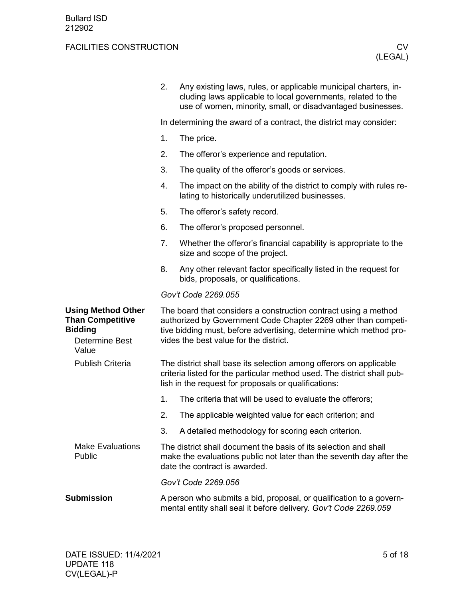<span id="page-4-4"></span><span id="page-4-3"></span><span id="page-4-2"></span><span id="page-4-1"></span><span id="page-4-0"></span>

|                                                                                                          | 2.                                                                                                                                      | Any existing laws, rules, or applicable municipal charters, in-<br>cluding laws applicable to local governments, related to the<br>use of women, minority, small, or disadvantaged businesses.                                                    |  |  |  |  |
|----------------------------------------------------------------------------------------------------------|-----------------------------------------------------------------------------------------------------------------------------------------|---------------------------------------------------------------------------------------------------------------------------------------------------------------------------------------------------------------------------------------------------|--|--|--|--|
|                                                                                                          | In determining the award of a contract, the district may consider:                                                                      |                                                                                                                                                                                                                                                   |  |  |  |  |
|                                                                                                          | 1.                                                                                                                                      | The price.                                                                                                                                                                                                                                        |  |  |  |  |
|                                                                                                          | 2.                                                                                                                                      | The offeror's experience and reputation.                                                                                                                                                                                                          |  |  |  |  |
|                                                                                                          | 3.                                                                                                                                      | The quality of the offeror's goods or services.                                                                                                                                                                                                   |  |  |  |  |
|                                                                                                          | 4.                                                                                                                                      | The impact on the ability of the district to comply with rules re-<br>lating to historically underutilized businesses.                                                                                                                            |  |  |  |  |
|                                                                                                          | 5.                                                                                                                                      | The offeror's safety record.                                                                                                                                                                                                                      |  |  |  |  |
|                                                                                                          | 6.                                                                                                                                      | The offeror's proposed personnel.                                                                                                                                                                                                                 |  |  |  |  |
|                                                                                                          | 7.                                                                                                                                      | Whether the offeror's financial capability is appropriate to the<br>size and scope of the project.                                                                                                                                                |  |  |  |  |
|                                                                                                          | 8.                                                                                                                                      | Any other relevant factor specifically listed in the request for<br>bids, proposals, or qualifications.                                                                                                                                           |  |  |  |  |
|                                                                                                          | Gov't Code 2269.055                                                                                                                     |                                                                                                                                                                                                                                                   |  |  |  |  |
| <b>Using Method Other</b><br><b>Than Competitive</b><br><b>Bidding</b><br><b>Determine Best</b><br>Value |                                                                                                                                         | The board that considers a construction contract using a method<br>authorized by Government Code Chapter 2269 other than competi-<br>tive bidding must, before advertising, determine which method pro-<br>vides the best value for the district. |  |  |  |  |
| <b>Publish Criteria</b>                                                                                  |                                                                                                                                         | The district shall base its selection among offerors on applicable<br>criteria listed for the particular method used. The district shall pub-<br>lish in the request for proposals or qualifications:                                             |  |  |  |  |
|                                                                                                          | 1.                                                                                                                                      | The criteria that will be used to evaluate the offerors;                                                                                                                                                                                          |  |  |  |  |
|                                                                                                          | 2.                                                                                                                                      | The applicable weighted value for each criterion; and                                                                                                                                                                                             |  |  |  |  |
|                                                                                                          | 3.                                                                                                                                      | A detailed methodology for scoring each criterion.                                                                                                                                                                                                |  |  |  |  |
| <b>Make Evaluations</b><br>Public                                                                        |                                                                                                                                         | The district shall document the basis of its selection and shall<br>make the evaluations public not later than the seventh day after the<br>date the contract is awarded.                                                                         |  |  |  |  |
|                                                                                                          |                                                                                                                                         | Gov't Code 2269.056                                                                                                                                                                                                                               |  |  |  |  |
| <b>Submission</b>                                                                                        | A person who submits a bid, proposal, or qualification to a govern-<br>mental entity shall seal it before delivery. Gov't Code 2269.059 |                                                                                                                                                                                                                                                   |  |  |  |  |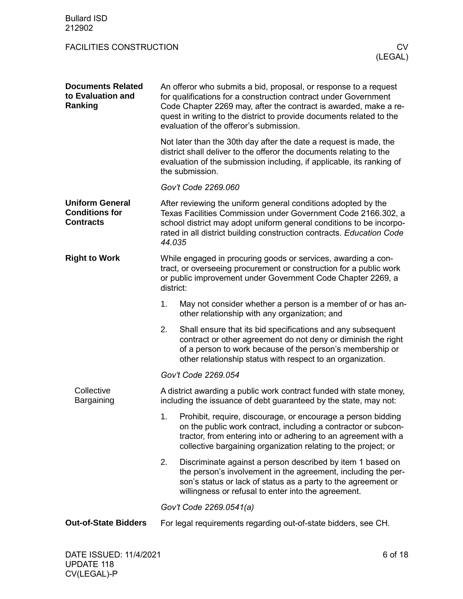<span id="page-5-4"></span><span id="page-5-3"></span><span id="page-5-2"></span><span id="page-5-1"></span><span id="page-5-0"></span>

| <b>Bullard ISD</b><br>212902                                        |                                                                                                                                                                                                                                                                                                                            |                                                                                                                                                                                                                                                                    |  |  |  |
|---------------------------------------------------------------------|----------------------------------------------------------------------------------------------------------------------------------------------------------------------------------------------------------------------------------------------------------------------------------------------------------------------------|--------------------------------------------------------------------------------------------------------------------------------------------------------------------------------------------------------------------------------------------------------------------|--|--|--|
| <b>FACILITIES CONSTRUCTION</b>                                      |                                                                                                                                                                                                                                                                                                                            | CV.<br>(LEGAL)                                                                                                                                                                                                                                                     |  |  |  |
| <b>Documents Related</b><br>to Evaluation and<br>Ranking            | An offeror who submits a bid, proposal, or response to a request<br>for qualifications for a construction contract under Government<br>Code Chapter 2269 may, after the contract is awarded, make a re-<br>quest in writing to the district to provide documents related to the<br>evaluation of the offeror's submission. |                                                                                                                                                                                                                                                                    |  |  |  |
|                                                                     |                                                                                                                                                                                                                                                                                                                            | Not later than the 30th day after the date a request is made, the<br>district shall deliver to the offeror the documents relating to the<br>evaluation of the submission including, if applicable, its ranking of<br>the submission.                               |  |  |  |
|                                                                     |                                                                                                                                                                                                                                                                                                                            | Gov't Code 2269.060                                                                                                                                                                                                                                                |  |  |  |
| <b>Uniform General</b><br><b>Conditions for</b><br><b>Contracts</b> | After reviewing the uniform general conditions adopted by the<br>Texas Facilities Commission under Government Code 2166.302, a<br>school district may adopt uniform general conditions to be incorpo-<br>rated in all district building construction contracts. Education Code<br>44.035                                   |                                                                                                                                                                                                                                                                    |  |  |  |
| <b>Right to Work</b>                                                | While engaged in procuring goods or services, awarding a con-<br>tract, or overseeing procurement or construction for a public work<br>or public improvement under Government Code Chapter 2269, a<br>district:                                                                                                            |                                                                                                                                                                                                                                                                    |  |  |  |
|                                                                     | 1.                                                                                                                                                                                                                                                                                                                         | May not consider whether a person is a member of or has an-<br>other relationship with any organization; and                                                                                                                                                       |  |  |  |
|                                                                     | 2.                                                                                                                                                                                                                                                                                                                         | Shall ensure that its bid specifications and any subsequent<br>contract or other agreement do not deny or diminish the right<br>of a person to work because of the person's membership or<br>other relationship status with respect to an organization.            |  |  |  |
|                                                                     | Gov't Code 2269.054                                                                                                                                                                                                                                                                                                        |                                                                                                                                                                                                                                                                    |  |  |  |
| Collective<br>Bargaining                                            | A district awarding a public work contract funded with state money,<br>including the issuance of debt guaranteed by the state, may not:                                                                                                                                                                                    |                                                                                                                                                                                                                                                                    |  |  |  |
|                                                                     | 1.                                                                                                                                                                                                                                                                                                                         | Prohibit, require, discourage, or encourage a person bidding<br>on the public work contract, including a contractor or subcon-<br>tractor, from entering into or adhering to an agreement with a<br>collective bargaining organization relating to the project; or |  |  |  |
|                                                                     | 2.                                                                                                                                                                                                                                                                                                                         | Discriminate against a person described by item 1 based on<br>the person's involvement in the agreement, including the per-<br>son's status or lack of status as a party to the agreement or<br>willingness or refusal to enter into the agreement.                |  |  |  |
|                                                                     | Gov't Code 2269.0541(a)                                                                                                                                                                                                                                                                                                    |                                                                                                                                                                                                                                                                    |  |  |  |
| <b>Out-of-State Bidders</b>                                         |                                                                                                                                                                                                                                                                                                                            | For legal requirements regarding out-of-state bidders, see CH.                                                                                                                                                                                                     |  |  |  |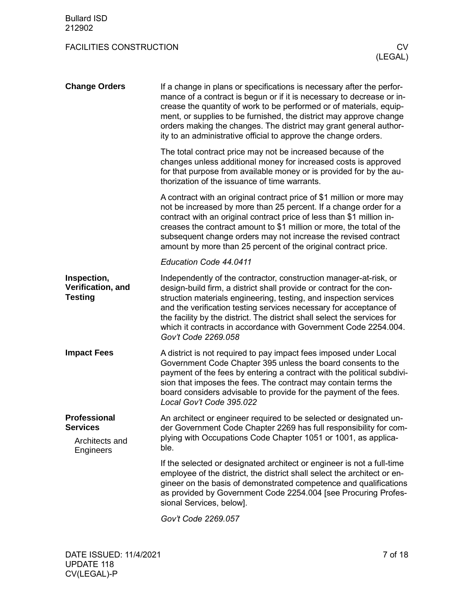<span id="page-6-4"></span><span id="page-6-3"></span><span id="page-6-2"></span><span id="page-6-1"></span><span id="page-6-0"></span>

| <b>Change Orders</b>                               | If a change in plans or specifications is necessary after the perfor-<br>mance of a contract is begun or if it is necessary to decrease or in-<br>crease the quantity of work to be performed or of materials, equip-<br>ment, or supplies to be furnished, the district may approve change<br>orders making the changes. The district may grant general author-<br>ity to an administrative official to approve the change orders.                       |  |  |  |  |
|----------------------------------------------------|-----------------------------------------------------------------------------------------------------------------------------------------------------------------------------------------------------------------------------------------------------------------------------------------------------------------------------------------------------------------------------------------------------------------------------------------------------------|--|--|--|--|
|                                                    | The total contract price may not be increased because of the<br>changes unless additional money for increased costs is approved<br>for that purpose from available money or is provided for by the au-<br>thorization of the issuance of time warrants.                                                                                                                                                                                                   |  |  |  |  |
|                                                    | A contract with an original contract price of \$1 million or more may<br>not be increased by more than 25 percent. If a change order for a<br>contract with an original contract price of less than \$1 million in-<br>creases the contract amount to \$1 million or more, the total of the<br>subsequent change orders may not increase the revised contract<br>amount by more than 25 percent of the original contract price.                           |  |  |  |  |
|                                                    | Education Code 44.0411                                                                                                                                                                                                                                                                                                                                                                                                                                    |  |  |  |  |
| Inspection,<br>Verification, and<br><b>Testing</b> | Independently of the contractor, construction manager-at-risk, or<br>design-build firm, a district shall provide or contract for the con-<br>struction materials engineering, testing, and inspection services<br>and the verification testing services necessary for acceptance of<br>the facility by the district. The district shall select the services for<br>which it contracts in accordance with Government Code 2254.004.<br>Gov't Code 2269.058 |  |  |  |  |
| <b>Impact Fees</b>                                 | A district is not required to pay impact fees imposed under Local<br>Government Code Chapter 395 unless the board consents to the<br>payment of the fees by entering a contract with the political subdivi-<br>sion that imposes the fees. The contract may contain terms the<br>board considers advisable to provide for the payment of the fees.<br>Local Gov't Code 395.022                                                                            |  |  |  |  |
| <b>Professional</b><br><b>Services</b>             | An architect or engineer required to be selected or designated un-<br>der Government Code Chapter 2269 has full responsibility for com-                                                                                                                                                                                                                                                                                                                   |  |  |  |  |
| Architects and<br>Engineers                        | plying with Occupations Code Chapter 1051 or 1001, as applica-<br>ble.                                                                                                                                                                                                                                                                                                                                                                                    |  |  |  |  |
|                                                    | If the selected or designated architect or engineer is not a full-time<br>employee of the district, the district shall select the architect or en-<br>gineer on the basis of demonstrated competence and qualifications<br>as provided by Government Code 2254.004 [see Procuring Profes-<br>sional Services, below].                                                                                                                                     |  |  |  |  |
|                                                    | Gov't Code 2269.057                                                                                                                                                                                                                                                                                                                                                                                                                                       |  |  |  |  |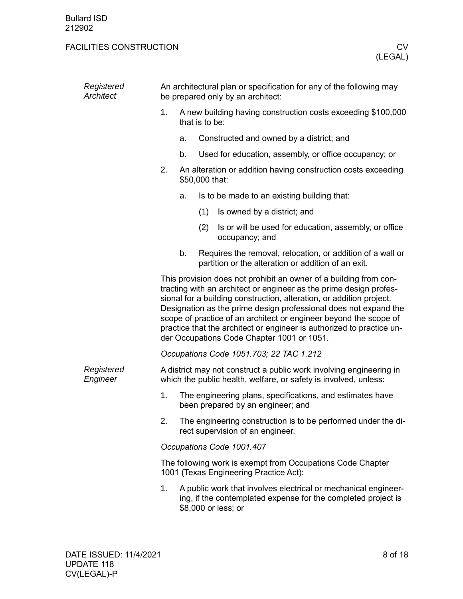| Registered<br>Architect | An architectural plan or specification for any of the following may<br>be prepared only by an architect:                                                                                                                                                                                                                                                                                                                                                                        |                                                                                 |     |                                                                                                                                                        |  |  |  |
|-------------------------|---------------------------------------------------------------------------------------------------------------------------------------------------------------------------------------------------------------------------------------------------------------------------------------------------------------------------------------------------------------------------------------------------------------------------------------------------------------------------------|---------------------------------------------------------------------------------|-----|--------------------------------------------------------------------------------------------------------------------------------------------------------|--|--|--|
|                         | 1.                                                                                                                                                                                                                                                                                                                                                                                                                                                                              | A new building having construction costs exceeding \$100,000<br>that is to be:  |     |                                                                                                                                                        |  |  |  |
|                         |                                                                                                                                                                                                                                                                                                                                                                                                                                                                                 | a.                                                                              |     | Constructed and owned by a district; and                                                                                                               |  |  |  |
|                         |                                                                                                                                                                                                                                                                                                                                                                                                                                                                                 | b.                                                                              |     | Used for education, assembly, or office occupancy; or                                                                                                  |  |  |  |
|                         | 2.                                                                                                                                                                                                                                                                                                                                                                                                                                                                              | An alteration or addition having construction costs exceeding<br>\$50,000 that: |     |                                                                                                                                                        |  |  |  |
|                         |                                                                                                                                                                                                                                                                                                                                                                                                                                                                                 | a.                                                                              |     | Is to be made to an existing building that:                                                                                                            |  |  |  |
|                         |                                                                                                                                                                                                                                                                                                                                                                                                                                                                                 |                                                                                 | (1) | Is owned by a district; and                                                                                                                            |  |  |  |
|                         |                                                                                                                                                                                                                                                                                                                                                                                                                                                                                 |                                                                                 | (2) | Is or will be used for education, assembly, or office<br>occupancy; and                                                                                |  |  |  |
|                         |                                                                                                                                                                                                                                                                                                                                                                                                                                                                                 | b.                                                                              |     | Requires the removal, relocation, or addition of a wall or<br>partition or the alteration or addition of an exit.                                      |  |  |  |
|                         | This provision does not prohibit an owner of a building from con-<br>tracting with an architect or engineer as the prime design profes-<br>sional for a building construction, alteration, or addition project.<br>Designation as the prime design professional does not expand the<br>scope of practice of an architect or engineer beyond the scope of<br>practice that the architect or engineer is authorized to practice un-<br>der Occupations Code Chapter 1001 or 1051. |                                                                                 |     |                                                                                                                                                        |  |  |  |
|                         | Occupations Code 1051.703; 22 TAC 1.212                                                                                                                                                                                                                                                                                                                                                                                                                                         |                                                                                 |     |                                                                                                                                                        |  |  |  |
| Registered<br>Engineer  | A district may not construct a public work involving engineering in<br>which the public health, welfare, or safety is involved, unless:                                                                                                                                                                                                                                                                                                                                         |                                                                                 |     |                                                                                                                                                        |  |  |  |
|                         | The engineering plans, specifications, and estimates have<br>1.<br>been prepared by an engineer; and                                                                                                                                                                                                                                                                                                                                                                            |                                                                                 |     |                                                                                                                                                        |  |  |  |
|                         | 2.                                                                                                                                                                                                                                                                                                                                                                                                                                                                              |                                                                                 |     | The engineering construction is to be performed under the di-<br>rect supervision of an engineer.                                                      |  |  |  |
|                         | Occupations Code 1001.407                                                                                                                                                                                                                                                                                                                                                                                                                                                       |                                                                                 |     |                                                                                                                                                        |  |  |  |
|                         | The following work is exempt from Occupations Code Chapter<br>1001 (Texas Engineering Practice Act):                                                                                                                                                                                                                                                                                                                                                                            |                                                                                 |     |                                                                                                                                                        |  |  |  |
|                         | 1.                                                                                                                                                                                                                                                                                                                                                                                                                                                                              |                                                                                 |     | A public work that involves electrical or mechanical engineer-<br>ing, if the contemplated expense for the completed project is<br>\$8,000 or less; or |  |  |  |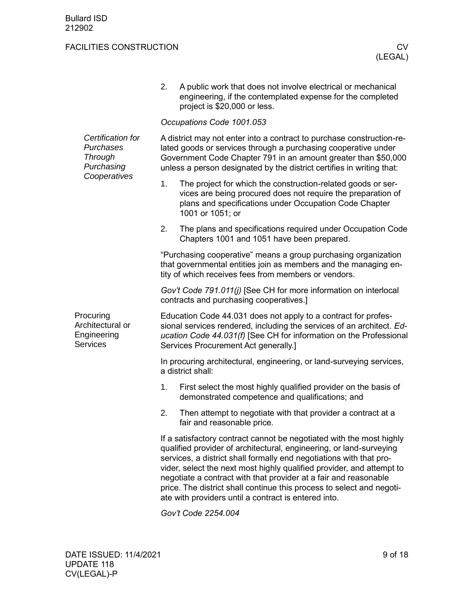<span id="page-8-0"></span>

|                                                                 | 2.                                                                                                                                                                                                                                                                                                                                                                                                                                                                                               | A public work that does not involve electrical or mechanical<br>engineering, if the contemplated expense for the completed<br>project is \$20,000 or less.                                                 |  |  |  |  |  |  |
|-----------------------------------------------------------------|--------------------------------------------------------------------------------------------------------------------------------------------------------------------------------------------------------------------------------------------------------------------------------------------------------------------------------------------------------------------------------------------------------------------------------------------------------------------------------------------------|------------------------------------------------------------------------------------------------------------------------------------------------------------------------------------------------------------|--|--|--|--|--|--|
|                                                                 |                                                                                                                                                                                                                                                                                                                                                                                                                                                                                                  | Occupations Code 1001.053                                                                                                                                                                                  |  |  |  |  |  |  |
| Certification for<br>Purchases<br><b>Through</b><br>Purchasing  | A district may not enter into a contract to purchase construction-re-<br>lated goods or services through a purchasing cooperative under<br>Government Code Chapter 791 in an amount greater than \$50,000<br>unless a person designated by the district certifies in writing that:                                                                                                                                                                                                               |                                                                                                                                                                                                            |  |  |  |  |  |  |
| Cooperatives                                                    | 1.                                                                                                                                                                                                                                                                                                                                                                                                                                                                                               | The project for which the construction-related goods or ser-<br>vices are being procured does not require the preparation of<br>plans and specifications under Occupation Code Chapter<br>1001 or 1051; or |  |  |  |  |  |  |
|                                                                 | 2.                                                                                                                                                                                                                                                                                                                                                                                                                                                                                               | The plans and specifications required under Occupation Code<br>Chapters 1001 and 1051 have been prepared.                                                                                                  |  |  |  |  |  |  |
|                                                                 | "Purchasing cooperative" means a group purchasing organization<br>that governmental entities join as members and the managing en-<br>tity of which receives fees from members or vendors.                                                                                                                                                                                                                                                                                                        |                                                                                                                                                                                                            |  |  |  |  |  |  |
|                                                                 | Gov't Code 791.011(j) [See CH for more information on interlocal<br>contracts and purchasing cooperatives.]                                                                                                                                                                                                                                                                                                                                                                                      |                                                                                                                                                                                                            |  |  |  |  |  |  |
| Procuring<br>Architectural or<br>Engineering<br><b>Services</b> | Education Code 44.031 does not apply to a contract for profes-<br>sional services rendered, including the services of an architect. Ed-<br>ucation Code 44.031(f) [See CH for information on the Professional<br>Services Procurement Act generally.]                                                                                                                                                                                                                                            |                                                                                                                                                                                                            |  |  |  |  |  |  |
|                                                                 | In procuring architectural, engineering, or land-surveying services,<br>a district shall:                                                                                                                                                                                                                                                                                                                                                                                                        |                                                                                                                                                                                                            |  |  |  |  |  |  |
|                                                                 | 1.                                                                                                                                                                                                                                                                                                                                                                                                                                                                                               | First select the most highly qualified provider on the basis of<br>demonstrated competence and qualifications; and                                                                                         |  |  |  |  |  |  |
|                                                                 | 2.                                                                                                                                                                                                                                                                                                                                                                                                                                                                                               | Then attempt to negotiate with that provider a contract at a<br>fair and reasonable price.                                                                                                                 |  |  |  |  |  |  |
|                                                                 | If a satisfactory contract cannot be negotiated with the most highly<br>qualified provider of architectural, engineering, or land-surveying<br>services, a district shall formally end negotiations with that pro-<br>vider, select the next most highly qualified provider, and attempt to<br>negotiate a contract with that provider at a fair and reasonable<br>price. The district shall continue this process to select and negoti-<br>ate with providers until a contract is entered into. |                                                                                                                                                                                                            |  |  |  |  |  |  |
|                                                                 |                                                                                                                                                                                                                                                                                                                                                                                                                                                                                                  | Gov't Code 2254.004                                                                                                                                                                                        |  |  |  |  |  |  |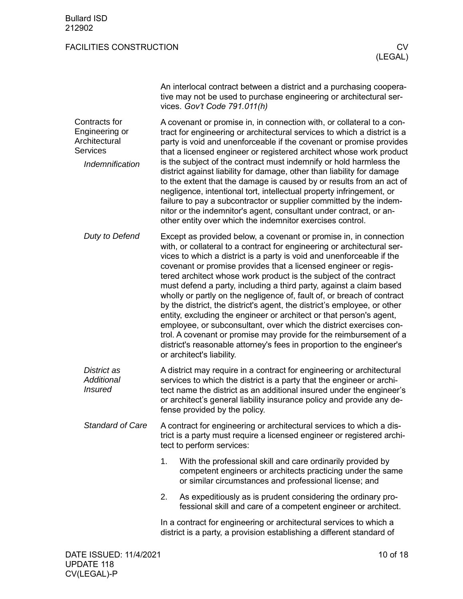| An interlocal contract between a district and a purchasing coopera- |
|---------------------------------------------------------------------|
| tive may not be used to purchase engineering or architectural ser-  |
| vices. Gov't Code 791.011(h)                                        |

<span id="page-9-0"></span>A covenant or promise in, in connection with, or collateral to a contract for engineering or architectural services to which a district is a party is void and unenforceable if the covenant or promise provides that a licensed engineer or registered architect whose work product is the subject of the contract must indemnify or hold harmless the district against liability for damage, other than liability for damage to the extent that the damage is caused by or results from an act of negligence, intentional tort, intellectual property infringement, or failure to pay a subcontractor or supplier committed by the indemnitor or the indemnitor's agent, consultant under contract, or another entity over which the indemnitor exercises control. Contracts for Engineering or **Architectural Services** *Indemnification*

Except as provided below, a covenant or promise in, in connection with, or collateral to a contract for engineering or architectural services to which a district is a party is void and unenforceable if the covenant or promise provides that a licensed engineer or registered architect whose work product is the subject of the contract must defend a party, including a third party, against a claim based wholly or partly on the negligence of, fault of, or breach of contract by the district, the district's agent, the district's employee, or other entity, excluding the engineer or architect or that person's agent, employee, or subconsultant, over which the district exercises control. A covenant or promise may provide for the reimbursement of a district's reasonable attorney's fees in proportion to the engineer's or architect's liability. *Duty to Defend*

A district may require in a contract for engineering or architectural services to which the district is a party that the engineer or architect name the district as an additional insured under the engineer's or architect's general liability insurance policy and provide any defense provided by the policy. *District as Additional Insured*

A contract for engineering or architectural services to which a district is a party must require a licensed engineer or registered architect to perform services: *Standard of Care*

- 1. With the professional skill and care ordinarily provided by competent engineers or architects practicing under the same or similar circumstances and professional license; and
- 2. As expeditiously as is prudent considering the ordinary professional skill and care of a competent engineer or architect.

In a contract for engineering or architectural services to which a district is a party, a provision establishing a different standard of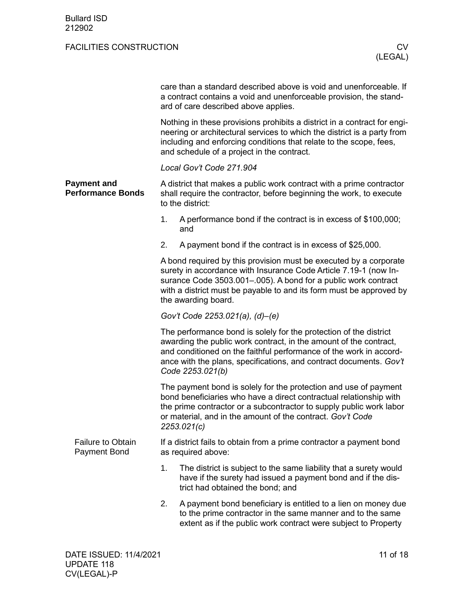<span id="page-10-1"></span><span id="page-10-0"></span>

|                                                 | care than a standard described above is void and unenforceable. If<br>a contract contains a void and unenforceable provision, the stand-<br>ard of care described above applies.                                                                                                                       |  |  |  |  |  |  |  |
|-------------------------------------------------|--------------------------------------------------------------------------------------------------------------------------------------------------------------------------------------------------------------------------------------------------------------------------------------------------------|--|--|--|--|--|--|--|
|                                                 | Nothing in these provisions prohibits a district in a contract for engi-<br>neering or architectural services to which the district is a party from<br>including and enforcing conditions that relate to the scope, fees,<br>and schedule of a project in the contract.                                |  |  |  |  |  |  |  |
|                                                 | Local Gov't Code 271.904                                                                                                                                                                                                                                                                               |  |  |  |  |  |  |  |
| <b>Payment and</b><br><b>Performance Bonds</b>  | A district that makes a public work contract with a prime contractor<br>shall require the contractor, before beginning the work, to execute<br>to the district:                                                                                                                                        |  |  |  |  |  |  |  |
|                                                 | 1.<br>A performance bond if the contract is in excess of \$100,000;<br>and                                                                                                                                                                                                                             |  |  |  |  |  |  |  |
|                                                 | 2.<br>A payment bond if the contract is in excess of \$25,000.                                                                                                                                                                                                                                         |  |  |  |  |  |  |  |
|                                                 | A bond required by this provision must be executed by a corporate<br>surety in accordance with Insurance Code Article 7.19-1 (now In-<br>surance Code 3503.001-.005). A bond for a public work contract<br>with a district must be payable to and its form must be approved by<br>the awarding board.  |  |  |  |  |  |  |  |
|                                                 | Gov't Code 2253.021(a), (d)-(e)                                                                                                                                                                                                                                                                        |  |  |  |  |  |  |  |
|                                                 | The performance bond is solely for the protection of the district<br>awarding the public work contract, in the amount of the contract,<br>and conditioned on the faithful performance of the work in accord-<br>ance with the plans, specifications, and contract documents. Gov't<br>Code 2253.021(b) |  |  |  |  |  |  |  |
|                                                 | The payment bond is solely for the protection and use of payment<br>bond beneficiaries who have a direct contractual relationship with<br>the prime contractor or a subcontractor to supply public work labor<br>or material, and in the amount of the contract. Gov't Code<br>2253.021(c)             |  |  |  |  |  |  |  |
| <b>Failure to Obtain</b><br><b>Payment Bond</b> | If a district fails to obtain from a prime contractor a payment bond<br>as required above:                                                                                                                                                                                                             |  |  |  |  |  |  |  |
|                                                 | 1.<br>The district is subject to the same liability that a surety would<br>have if the surety had issued a payment bond and if the dis-<br>trict had obtained the bond; and                                                                                                                            |  |  |  |  |  |  |  |
|                                                 | 2.<br>A payment bond beneficiary is entitled to a lien on money due<br>to the prime contractor in the same manner and to the same<br>extent as if the public work contract were subject to Property                                                                                                    |  |  |  |  |  |  |  |
|                                                 |                                                                                                                                                                                                                                                                                                        |  |  |  |  |  |  |  |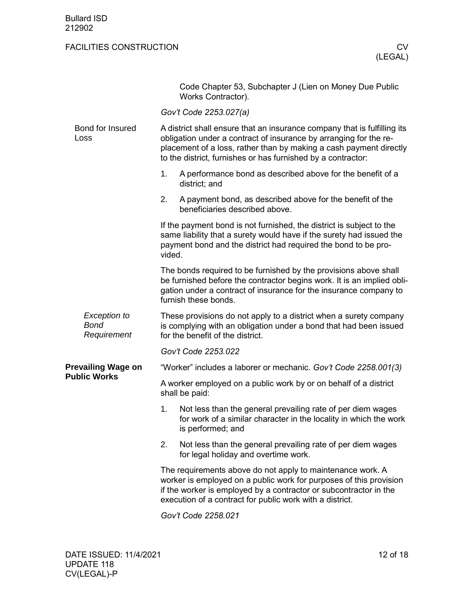<span id="page-11-0"></span>

|                                            | Code Chapter 53, Subchapter J (Lien on Money Due Public<br>Works Contractor).                                                                                                                                                                                                       |  |  |  |  |  |
|--------------------------------------------|-------------------------------------------------------------------------------------------------------------------------------------------------------------------------------------------------------------------------------------------------------------------------------------|--|--|--|--|--|
|                                            | Gov't Code 2253.027(a)                                                                                                                                                                                                                                                              |  |  |  |  |  |
| Bond for Insured<br>Loss                   | A district shall ensure that an insurance company that is fulfilling its<br>obligation under a contract of insurance by arranging for the re-<br>placement of a loss, rather than by making a cash payment directly<br>to the district, furnishes or has furnished by a contractor: |  |  |  |  |  |
|                                            | 1.<br>A performance bond as described above for the benefit of a<br>district; and                                                                                                                                                                                                   |  |  |  |  |  |
|                                            | 2.<br>A payment bond, as described above for the benefit of the<br>beneficiaries described above.                                                                                                                                                                                   |  |  |  |  |  |
|                                            | If the payment bond is not furnished, the district is subject to the<br>same liability that a surety would have if the surety had issued the<br>payment bond and the district had required the bond to be pro-<br>vided.                                                            |  |  |  |  |  |
|                                            | The bonds required to be furnished by the provisions above shall<br>be furnished before the contractor begins work. It is an implied obli-<br>gation under a contract of insurance for the insurance company to<br>furnish these bonds.                                             |  |  |  |  |  |
| Exception to<br><b>Bond</b><br>Requirement | These provisions do not apply to a district when a surety company<br>is complying with an obligation under a bond that had been issued<br>for the benefit of the district.                                                                                                          |  |  |  |  |  |
|                                            | Gov't Code 2253.022                                                                                                                                                                                                                                                                 |  |  |  |  |  |
| <b>Prevailing Wage on</b>                  | "Worker" includes a laborer or mechanic. Gov't Code 2258.001(3)                                                                                                                                                                                                                     |  |  |  |  |  |
| <b>Public Works</b>                        | A worker employed on a public work by or on behalf of a district<br>shall be paid:                                                                                                                                                                                                  |  |  |  |  |  |
|                                            | 1.<br>Not less than the general prevailing rate of per diem wages<br>for work of a similar character in the locality in which the work<br>is performed; and                                                                                                                         |  |  |  |  |  |
|                                            | 2.<br>Not less than the general prevailing rate of per diem wages<br>for legal holiday and overtime work.                                                                                                                                                                           |  |  |  |  |  |
|                                            | The requirements above do not apply to maintenance work. A<br>worker is employed on a public work for purposes of this provision<br>if the worker is employed by a contractor or subcontractor in the<br>execution of a contract for public work with a district.                   |  |  |  |  |  |
|                                            |                                                                                                                                                                                                                                                                                     |  |  |  |  |  |

<span id="page-11-1"></span>*Gov't Code 2258.021*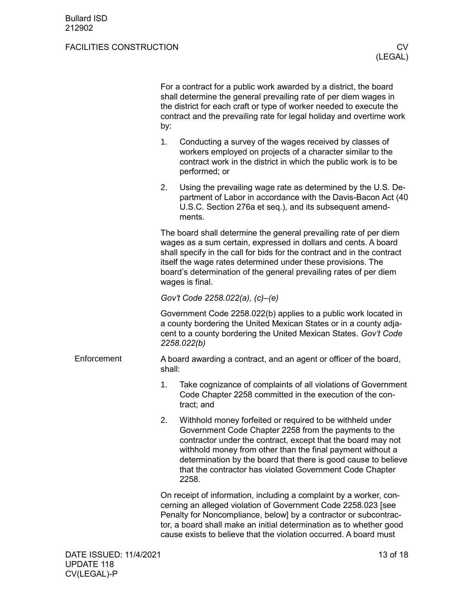<span id="page-12-0"></span>

|                        | by:                                                                          | For a contract for a public work awarded by a district, the board<br>shall determine the general prevailing rate of per diem wages in<br>the district for each craft or type of worker needed to execute the<br>contract and the prevailing rate for legal holiday and overtime work                                                                                                    |          |
|------------------------|------------------------------------------------------------------------------|-----------------------------------------------------------------------------------------------------------------------------------------------------------------------------------------------------------------------------------------------------------------------------------------------------------------------------------------------------------------------------------------|----------|
|                        | 1.                                                                           | Conducting a survey of the wages received by classes of<br>workers employed on projects of a character similar to the<br>contract work in the district in which the public work is to be<br>performed; or                                                                                                                                                                               |          |
|                        | 2.                                                                           | Using the prevailing wage rate as determined by the U.S. De-<br>partment of Labor in accordance with the Davis-Bacon Act (40<br>U.S.C. Section 276a et seq.), and its subsequent amend-<br>ments.                                                                                                                                                                                       |          |
|                        |                                                                              | The board shall determine the general prevailing rate of per diem<br>wages as a sum certain, expressed in dollars and cents. A board<br>shall specify in the call for bids for the contract and in the contract<br>itself the wage rates determined under these provisions. The<br>board's determination of the general prevailing rates of per diem<br>wages is final.                 |          |
|                        |                                                                              | Gov't Code 2258.022(a), (c)-(e)                                                                                                                                                                                                                                                                                                                                                         |          |
|                        |                                                                              | Government Code 2258.022(b) applies to a public work located in<br>a county bordering the United Mexican States or in a county adja-<br>cent to a county bordering the United Mexican States. Gov't Code<br>2258.022(b)                                                                                                                                                                 |          |
| Enforcement            | A board awarding a contract, and an agent or officer of the board,<br>shall: |                                                                                                                                                                                                                                                                                                                                                                                         |          |
|                        | 1.                                                                           | Take cognizance of complaints of all violations of Government<br>Code Chapter 2258 committed in the execution of the con-<br>tract; and                                                                                                                                                                                                                                                 |          |
|                        | 2.                                                                           | Withhold money forfeited or required to be withheld under<br>Government Code Chapter 2258 from the payments to the<br>contractor under the contract, except that the board may not<br>withhold money from other than the final payment without a<br>determination by the board that there is good cause to believe<br>that the contractor has violated Government Code Chapter<br>2258. |          |
|                        |                                                                              | On receipt of information, including a complaint by a worker, con-<br>cerning an alleged violation of Government Code 2258.023 [see<br>Penalty for Noncompliance, below] by a contractor or subcontrac-<br>tor, a board shall make an initial determination as to whether good<br>cause exists to believe that the violation occurred. A board must                                     |          |
| DATE ISSUED: 11/4/2021 |                                                                              |                                                                                                                                                                                                                                                                                                                                                                                         | 13 of 18 |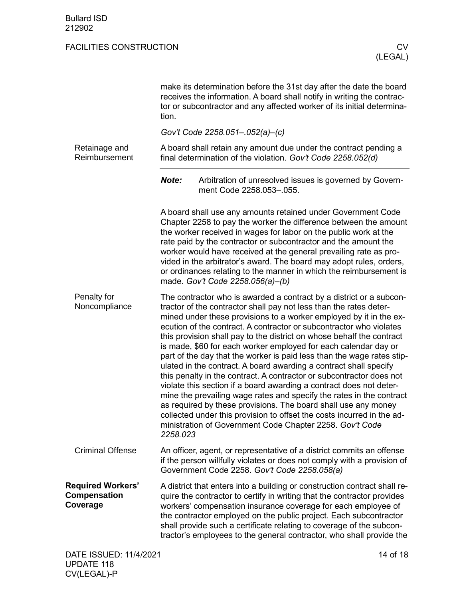<span id="page-13-3"></span><span id="page-13-2"></span><span id="page-13-1"></span><span id="page-13-0"></span>

|                                                      | make its determination before the 31st day after the date the board<br>receives the information. A board shall notify in writing the contrac-<br>tor or subcontractor and any affected worker of its initial determina-<br>tion.                                                                                                                                                                                                                                                                                                                                                                                                                                                                                                                                                                                                                                                                                                                                                                                             |  |  |  |  |
|------------------------------------------------------|------------------------------------------------------------------------------------------------------------------------------------------------------------------------------------------------------------------------------------------------------------------------------------------------------------------------------------------------------------------------------------------------------------------------------------------------------------------------------------------------------------------------------------------------------------------------------------------------------------------------------------------------------------------------------------------------------------------------------------------------------------------------------------------------------------------------------------------------------------------------------------------------------------------------------------------------------------------------------------------------------------------------------|--|--|--|--|
|                                                      | Gov't Code 2258.051-.052(a)-(c)                                                                                                                                                                                                                                                                                                                                                                                                                                                                                                                                                                                                                                                                                                                                                                                                                                                                                                                                                                                              |  |  |  |  |
| Retainage and<br>Reimbursement                       | A board shall retain any amount due under the contract pending a<br>final determination of the violation. Gov't Code 2258.052(d)                                                                                                                                                                                                                                                                                                                                                                                                                                                                                                                                                                                                                                                                                                                                                                                                                                                                                             |  |  |  |  |
|                                                      | Note:<br>Arbitration of unresolved issues is governed by Govern-<br>ment Code 2258.053-055.                                                                                                                                                                                                                                                                                                                                                                                                                                                                                                                                                                                                                                                                                                                                                                                                                                                                                                                                  |  |  |  |  |
|                                                      | A board shall use any amounts retained under Government Code<br>Chapter 2258 to pay the worker the difference between the amount<br>the worker received in wages for labor on the public work at the<br>rate paid by the contractor or subcontractor and the amount the<br>worker would have received at the general prevailing rate as pro-<br>vided in the arbitrator's award. The board may adopt rules, orders,<br>or ordinances relating to the manner in which the reimbursement is<br>made. Gov't Code 2258.056(a)-(b)                                                                                                                                                                                                                                                                                                                                                                                                                                                                                                |  |  |  |  |
| Penalty for<br>Noncompliance                         | The contractor who is awarded a contract by a district or a subcon-<br>tractor of the contractor shall pay not less than the rates deter-<br>mined under these provisions to a worker employed by it in the ex-<br>ecution of the contract. A contractor or subcontractor who violates<br>this provision shall pay to the district on whose behalf the contract<br>is made, \$60 for each worker employed for each calendar day or<br>part of the day that the worker is paid less than the wage rates stip-<br>ulated in the contract. A board awarding a contract shall specify<br>this penalty in the contract. A contractor or subcontractor does not<br>violate this section if a board awarding a contract does not deter-<br>mine the prevailing wage rates and specify the rates in the contract<br>as required by these provisions. The board shall use any money<br>collected under this provision to offset the costs incurred in the ad-<br>ministration of Government Code Chapter 2258. Gov't Code<br>2258.023 |  |  |  |  |
| <b>Criminal Offense</b>                              | An officer, agent, or representative of a district commits an offense<br>if the person willfully violates or does not comply with a provision of<br>Government Code 2258. Gov't Code 2258.058(a)                                                                                                                                                                                                                                                                                                                                                                                                                                                                                                                                                                                                                                                                                                                                                                                                                             |  |  |  |  |
| <b>Required Workers'</b><br>Compensation<br>Coverage | A district that enters into a building or construction contract shall re-<br>quire the contractor to certify in writing that the contractor provides<br>workers' compensation insurance coverage for each employee of<br>the contractor employed on the public project. Each subcontractor<br>shall provide such a certificate relating to coverage of the subcon-<br>tractor's employees to the general contractor, who shall provide the                                                                                                                                                                                                                                                                                                                                                                                                                                                                                                                                                                                   |  |  |  |  |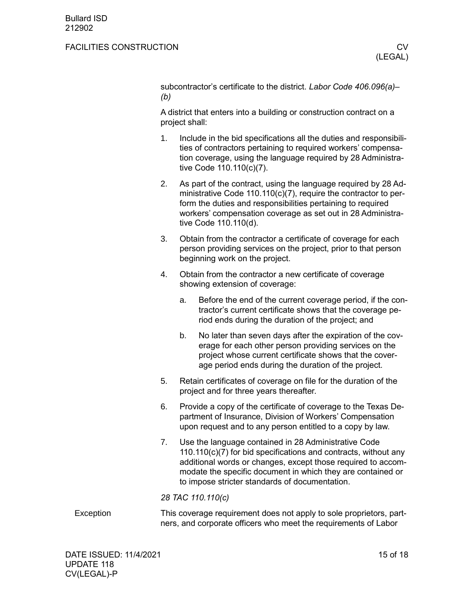subcontractor's certificate to the district. *Labor Code 406.096(a)– (b)*

A district that enters into a building or construction contract on a project shall:

- 1. Include in the bid specifications all the duties and responsibilities of contractors pertaining to required workers' compensation coverage, using the language required by 28 Administrative Code 110.110(c)(7).
- 2. As part of the contract, using the language required by 28 Administrative Code 110.110(c)(7), require the contractor to perform the duties and responsibilities pertaining to required workers' compensation coverage as set out in 28 Administrative Code 110.110(d).
- 3. Obtain from the contractor a certificate of coverage for each person providing services on the project, prior to that person beginning work on the project.
- 4. Obtain from the contractor a new certificate of coverage showing extension of coverage:
	- a. Before the end of the current coverage period, if the contractor's current certificate shows that the coverage period ends during the duration of the project; and
	- b. No later than seven days after the expiration of the coverage for each other person providing services on the project whose current certificate shows that the coverage period ends during the duration of the project.
- 5. Retain certificates of coverage on file for the duration of the project and for three years thereafter.
- 6. Provide a copy of the certificate of coverage to the Texas Department of Insurance, Division of Workers' Compensation upon request and to any person entitled to a copy by law.
- 7. Use the language contained in 28 Administrative Code 110.110(c)(7) for bid specifications and contracts, without any additional words or changes, except those required to accommodate the specific document in which they are contained or to impose stricter standards of documentation.

*28 TAC 110.110(c)*

<span id="page-14-0"></span>This coverage requirement does not apply to sole proprietors, partners, and corporate officers who meet the requirements of Labor **Exception**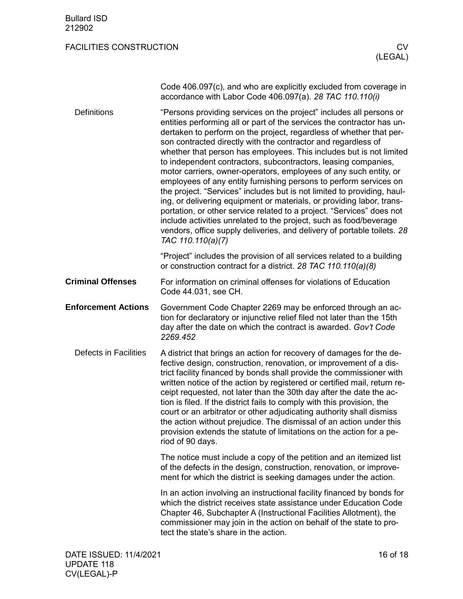<span id="page-15-2"></span><span id="page-15-1"></span><span id="page-15-0"></span>

|                              | Code 406.097(c), and who are explicitly excluded from coverage in<br>accordance with Labor Code 406.097(a). 28 TAC 110.110(i)                                                                                                                                                                                                                                                                                                                                                                                                                                                                                                                                                                                                                                                                                                                                                                                                                                               |
|------------------------------|-----------------------------------------------------------------------------------------------------------------------------------------------------------------------------------------------------------------------------------------------------------------------------------------------------------------------------------------------------------------------------------------------------------------------------------------------------------------------------------------------------------------------------------------------------------------------------------------------------------------------------------------------------------------------------------------------------------------------------------------------------------------------------------------------------------------------------------------------------------------------------------------------------------------------------------------------------------------------------|
| <b>Definitions</b>           | "Persons providing services on the project" includes all persons or<br>entities performing all or part of the services the contractor has un-<br>dertaken to perform on the project, regardless of whether that per-<br>son contracted directly with the contractor and regardless of<br>whether that person has employees. This includes but is not limited<br>to independent contractors, subcontractors, leasing companies,<br>motor carriers, owner-operators, employees of any such entity, or<br>employees of any entity furnishing persons to perform services on<br>the project. "Services" includes but is not limited to providing, haul-<br>ing, or delivering equipment or materials, or providing labor, trans-<br>portation, or other service related to a project. "Services" does not<br>include activities unrelated to the project, such as food/beverage<br>vendors, office supply deliveries, and delivery of portable toilets. 28<br>TAC 110.110(a)(7) |
|                              | "Project" includes the provision of all services related to a building<br>or construction contract for a district. 28 TAC 110.110(a)(8)                                                                                                                                                                                                                                                                                                                                                                                                                                                                                                                                                                                                                                                                                                                                                                                                                                     |
| <b>Criminal Offenses</b>     | For information on criminal offenses for violations of Education<br>Code 44.031, see CH.                                                                                                                                                                                                                                                                                                                                                                                                                                                                                                                                                                                                                                                                                                                                                                                                                                                                                    |
| <b>Enforcement Actions</b>   | Government Code Chapter 2269 may be enforced through an ac-<br>tion for declaratory or injunctive relief filed not later than the 15th<br>day after the date on which the contract is awarded. Gov't Code<br>2269.452                                                                                                                                                                                                                                                                                                                                                                                                                                                                                                                                                                                                                                                                                                                                                       |
| <b>Defects in Facilities</b> | A district that brings an action for recovery of damages for the de-<br>fective design, construction, renovation, or improvement of a dis-<br>trict facility financed by bonds shall provide the commissioner with<br>written notice of the action by registered or certified mail, return re-<br>ceipt requested, not later than the 30th day after the date the ac-<br>tion is filed. If the district fails to comply with this provision, the<br>court or an arbitrator or other adjudicating authority shall dismiss<br>the action without prejudice. The dismissal of an action under this<br>provision extends the statute of limitations on the action for a pe-<br>riod of 90 days.                                                                                                                                                                                                                                                                                 |
|                              | The notice must include a copy of the petition and an itemized list<br>of the defects in the design, construction, renovation, or improve-<br>ment for which the district is seeking damages under the action.                                                                                                                                                                                                                                                                                                                                                                                                                                                                                                                                                                                                                                                                                                                                                              |
|                              | In an action involving an instructional facility financed by bonds for<br>which the district receives state assistance under Education Code<br>Chapter 46, Subchapter A (Instructional Facilities Allotment), the<br>commissioner may join in the action on behalf of the state to pro-                                                                                                                                                                                                                                                                                                                                                                                                                                                                                                                                                                                                                                                                                     |

<span id="page-15-3"></span>tect the state's share in the action.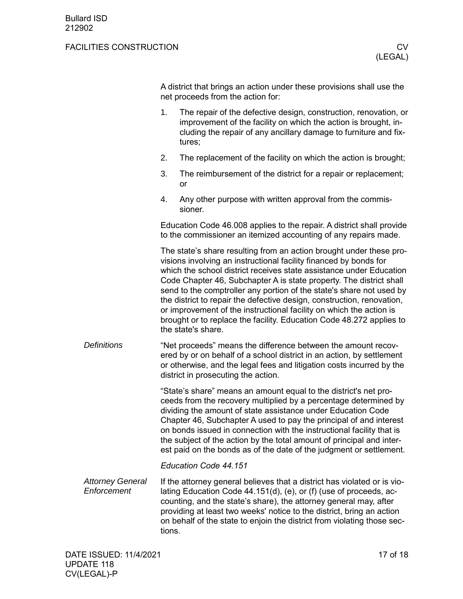A district that brings an action under these provisions shall use the net proceeds from the action for:

- 1. The repair of the defective design, construction, renovation, or improvement of the facility on which the action is brought, including the repair of any ancillary damage to furniture and fixtures;
- 2. The replacement of the facility on which the action is brought;
- 3. The reimbursement of the district for a repair or replacement; or
- 4. Any other purpose with written approval from the commissioner.

Education Code 46.008 applies to the repair. A district shall provide to the commissioner an itemized accounting of any repairs made.

The state's share resulting from an action brought under these provisions involving an instructional facility financed by bonds for which the school district receives state assistance under Education Code Chapter 46, Subchapter A is state property. The district shall send to the comptroller any portion of the state's share not used by the district to repair the defective design, construction, renovation, or improvement of the instructional facility on which the action is brought or to replace the facility. Education Code 48.272 applies to the state's share.

"Net proceeds" means the difference between the amount recovered by or on behalf of a school district in an action, by settlement or otherwise, and the legal fees and litigation costs incurred by the district in prosecuting the action. *Definitions*

> "State's share" means an amount equal to the district's net proceeds from the recovery multiplied by a percentage determined by dividing the amount of state assistance under Education Code Chapter 46, Subchapter A used to pay the principal of and interest on bonds issued in connection with the instructional facility that is the subject of the action by the total amount of principal and interest paid on the bonds as of the date of the judgment or settlement.

#### *Education Code 44.151*

If the attorney general believes that a district has violated or is violating Education Code 44.151(d), (e), or (f) (use of proceeds, accounting, and the state's share), the attorney general may, after providing at least two weeks' notice to the district, bring an action on behalf of the state to enjoin the district from violating those sections. *Attorney General Enforcement*